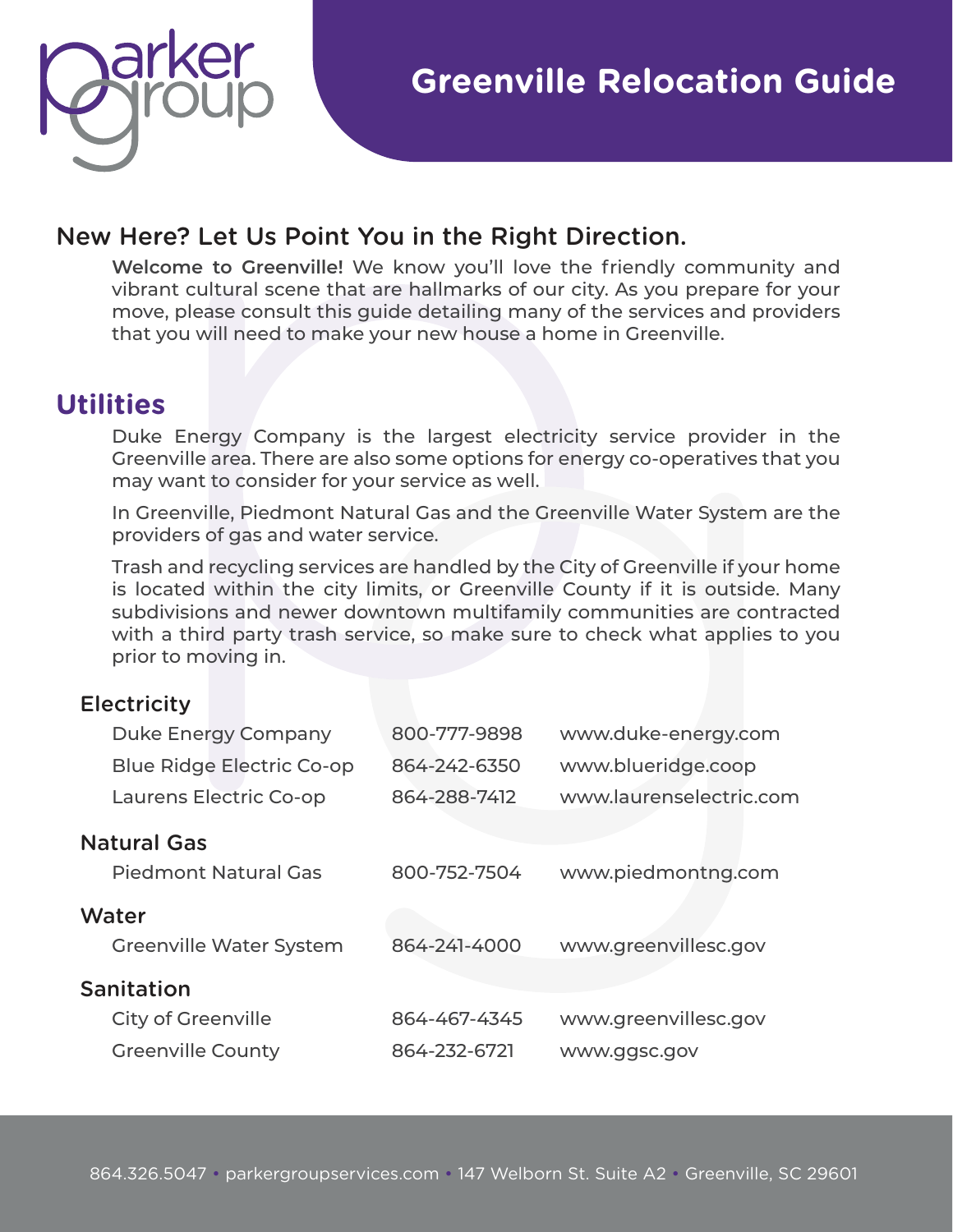

### New Here? Let Us Point You in the Right Direction.

**Welcome to Greenville!** We know you'll love the friendly community and vibrant cultural scene that are hallmarks of our city. As you prepare for your move, please consult this guide detailing many of the services and providers that you will need to make your new house a home in Greenville.

## **Utilities**

Duke Energy Company is the largest electricity service provider in the Greenville area. There are also some options for energy co-operatives that you may want to consider for your service as well.

In Greenville, Piedmont Natural Gas and the Greenville Water System are the providers of gas and water service.

Trash and recycling services are handled by the City of Greenville if your home is located within the city limits, or Greenville County if it is outside. Many subdivisions and newer downtown multifamily communities are contracted with a third party trash service, so make sure to check what applies to you prior to moving in.

#### **Electricity**

| <b>Duke Energy Company</b>       | 800-777-9898 | www.duke-energy.com     |
|----------------------------------|--------------|-------------------------|
| <b>Blue Ridge Electric Co-op</b> | 864-242-6350 | www.blueridge.coop      |
| Laurens Electric Co-op           | 864-288-7412 | www.laurenselectric.com |
| <b>Natural Gas</b>               |              |                         |
| <b>Piedmont Natural Gas</b>      | 800-752-7504 | www.piedmontng.com      |
| Water                            |              |                         |
| <b>Greenville Water System</b>   | 864-241-4000 | www.greenvillesc.gov    |
| <b>Sanitation</b>                |              |                         |
| <b>City of Greenville</b>        | 864-467-4345 | www.greenvillesc.gov    |
| <b>Greenville County</b>         | 864-232-6721 | www.ggsc.gov            |